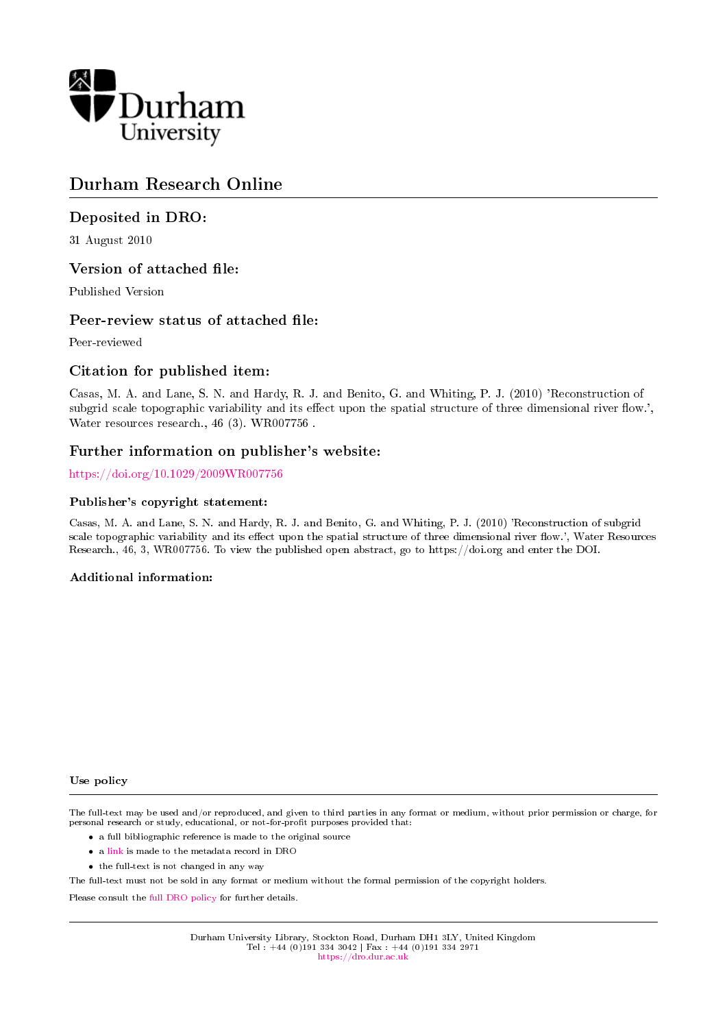

# Durham Research Online

## Deposited in DRO:

31 August 2010

## Version of attached file:

Published Version

### Peer-review status of attached file:

Peer-reviewed

## Citation for published item:

Casas, M. A. and Lane, S. N. and Hardy, R. J. and Benito, G. and Whiting, P. J. (2010) 'Reconstruction of subgrid scale topographic variability and its effect upon the spatial structure of three dimensional river flow.', Water resources research., 46 (3). WR007756 .

### Further information on publisher's website:

<https://doi.org/10.1029/2009WR007756>

### Publisher's copyright statement:

Casas, M. A. and Lane, S. N. and Hardy, R. J. and Benito, G. and Whiting, P. J. (2010) 'Reconstruction of subgrid scale topographic variability and its effect upon the spatial structure of three dimensional river flow.', Water Resources Research., 46, 3, WR007756. To view the published open abstract, go to https://doi.org and enter the DOI.

### Additional information:

#### Use policy

The full-text may be used and/or reproduced, and given to third parties in any format or medium, without prior permission or charge, for personal research or study, educational, or not-for-profit purposes provided that:

- a full bibliographic reference is made to the original source
- a [link](http://dro.dur.ac.uk/7321/) is made to the metadata record in DRO
- the full-text is not changed in any way

The full-text must not be sold in any format or medium without the formal permission of the copyright holders.

Please consult the [full DRO policy](https://dro.dur.ac.uk/policies/usepolicy.pdf) for further details.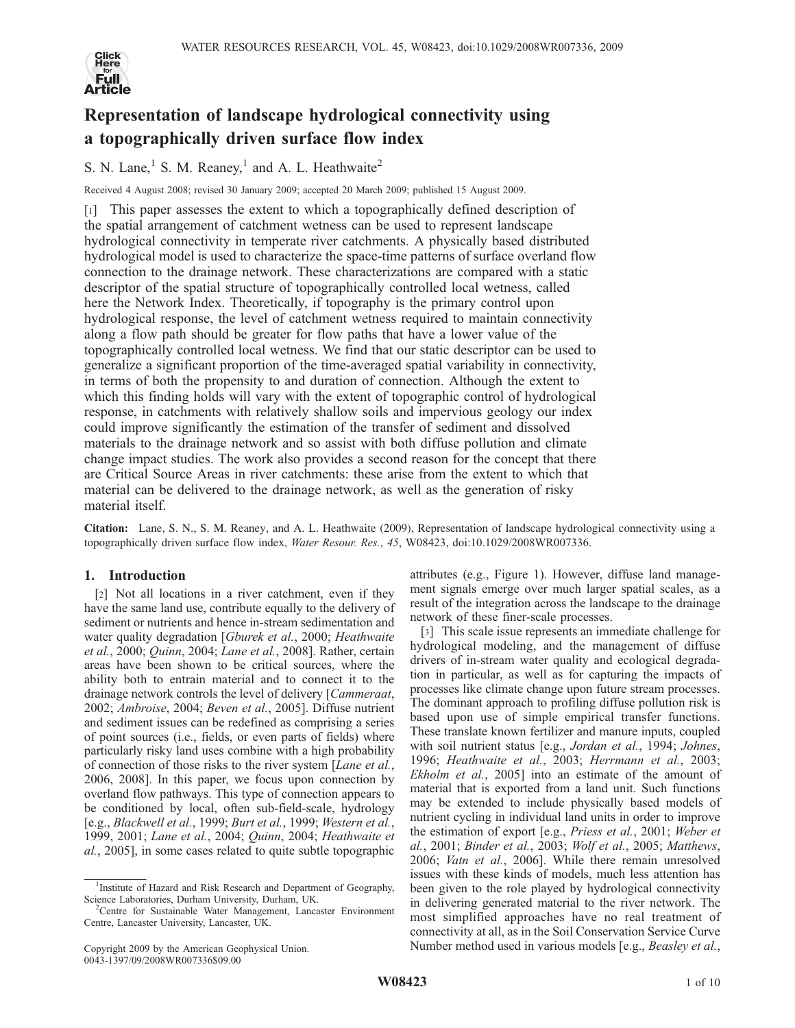

# Representation of landscape hydrological connectivity using a topographically driven surface flow index

S. N. Lane,<sup>1</sup> S. M. Reaney,<sup>1</sup> and A. L. Heathwaite<sup>2</sup>

Received 4 August 2008; revised 30 January 2009; accepted 20 March 2009; published 15 August 2009.

[1] This paper assesses the extent to which a topographically defined description of the spatial arrangement of catchment wetness can be used to represent landscape hydrological connectivity in temperate river catchments. A physically based distributed hydrological model is used to characterize the space-time patterns of surface overland flow connection to the drainage network. These characterizations are compared with a static descriptor of the spatial structure of topographically controlled local wetness, called here the Network Index. Theoretically, if topography is the primary control upon hydrological response, the level of catchment wetness required to maintain connectivity along a flow path should be greater for flow paths that have a lower value of the topographically controlled local wetness. We find that our static descriptor can be used to generalize a significant proportion of the time-averaged spatial variability in connectivity, in terms of both the propensity to and duration of connection. Although the extent to which this finding holds will vary with the extent of topographic control of hydrological response, in catchments with relatively shallow soils and impervious geology our index could improve significantly the estimation of the transfer of sediment and dissolved materials to the drainage network and so assist with both diffuse pollution and climate change impact studies. The work also provides a second reason for the concept that there are Critical Source Areas in river catchments: these arise from the extent to which that material can be delivered to the drainage network, as well as the generation of risky material itself.

Citation: Lane, S. N., S. M. Reaney, and A. L. Heathwaite (2009), Representation of landscape hydrological connectivity using a topographically driven surface flow index, Water Resour. Res., 45, W08423, doi:10.1029/2008WR007336.

#### 1. Introduction

[2] Not all locations in a river catchment, even if they have the same land use, contribute equally to the delivery of sediment or nutrients and hence in-stream sedimentation and water quality degradation [Gburek et al., 2000; Heathwaite et al., 2000; Quinn, 2004; Lane et al., 2008]. Rather, certain areas have been shown to be critical sources, where the ability both to entrain material and to connect it to the drainage network controls the level of delivery [Cammeraat, 2002; Ambroise, 2004; Beven et al., 2005]. Diffuse nutrient and sediment issues can be redefined as comprising a series of point sources (i.e., fields, or even parts of fields) where particularly risky land uses combine with a high probability of connection of those risks to the river system [Lane et al., 2006, 2008]. In this paper, we focus upon connection by overland flow pathways. This type of connection appears to be conditioned by local, often sub-field-scale, hydrology [e.g., Blackwell et al., 1999; Burt et al., 1999; Western et al., 1999, 2001; Lane et al., 2004; Quinn, 2004; Heathwaite et al., 2005], in some cases related to quite subtle topographic

attributes (e.g., Figure 1). However, diffuse land management signals emerge over much larger spatial scales, as a result of the integration across the landscape to the drainage network of these finer-scale processes.

[3] This scale issue represents an immediate challenge for hydrological modeling, and the management of diffuse drivers of in-stream water quality and ecological degradation in particular, as well as for capturing the impacts of processes like climate change upon future stream processes. The dominant approach to profiling diffuse pollution risk is based upon use of simple empirical transfer functions. These translate known fertilizer and manure inputs, coupled with soil nutrient status [e.g., Jordan et al., 1994; Johnes, 1996; Heathwaite et al., 2003; Herrmann et al., 2003; Ekholm et al., 2005] into an estimate of the amount of material that is exported from a land unit. Such functions may be extended to include physically based models of nutrient cycling in individual land units in order to improve the estimation of export [e.g., Priess et al., 2001; Weber et al., 2001; Binder et al., 2003; Wolf et al., 2005; Matthews, 2006; Vatn et al., 2006]. While there remain unresolved issues with these kinds of models, much less attention has been given to the role played by hydrological connectivity in delivering generated material to the river network. The most simplified approaches have no real treatment of connectivity at all, as in the Soil Conservation Service Curve Number method used in various models [e.g., Beasley et al.,

<sup>&</sup>lt;sup>1</sup>Institute of Hazard and Risk Research and Department of Geography, Science Laboratories, Durham University, Durham, UK.

<sup>&</sup>lt;sup>2</sup>Centre for Sustainable Water Management, Lancaster Environment Centre, Lancaster University, Lancaster, UK.

Copyright 2009 by the American Geophysical Union. 0043-1397/09/2008WR007336\$09.00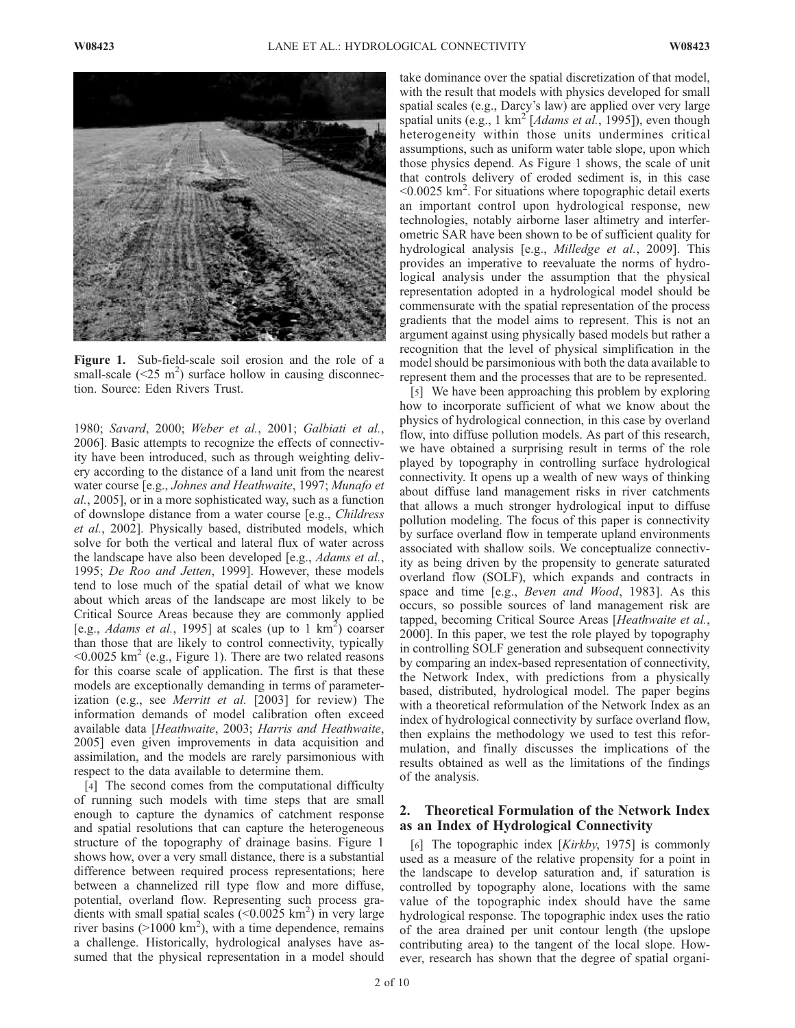

Figure 1. Sub-field-scale soil erosion and the role of a small-scale  $(<25 \text{ m}^2$ ) surface hollow in causing disconnecttion. Source: Eden Rivers Trust.

1980; Savard, 2000; Weber et al., 2001; Galbiati et al., 2006]. Basic attempts to recognize the effects of connectivity have been introduced, such as through weighting delivery according to the distance of a land unit from the nearest water course [e.g., Johnes and Heathwaite, 1997; Munafo et al., 2005], or in a more sophisticated way, such as a function of downslope distance from a water course [e.g., Childress et al., 2002]. Physically based, distributed models, which solve for both the vertical and lateral flux of water across the landscape have also been developed [e.g., *Adams et al.*, 1995; De Roo and Jetten, 1999]. However, these models tend to lose much of the spatial detail of what we know about which areas of the landscape are most likely to be Critical Source Areas because they are commonly applied [e.g., *Adams et al.*, 1995] at scales (up to 1  $km^2$ ) coarser than those that are likely to control connectivity, typically  $\leq 0.0025$  km<sup>2</sup> (e.g., Figure 1). There are two related reasons for this coarse scale of application. The first is that these models are exceptionally demanding in terms of parameterization (e.g., see Merritt et al. [2003] for review) The information demands of model calibration often exceed available data [Heathwaite, 2003; Harris and Heathwaite, 2005] even given improvements in data acquisition and assimilation, and the models are rarely parsimonious with respect to the data available to determine them.

[4] The second comes from the computational difficulty of running such models with time steps that are small enough to capture the dynamics of catchment response and spatial resolutions that can capture the heterogeneous structure of the topography of drainage basins. Figure 1 shows how, over a very small distance, there is a substantial difference between required process representations; here between a channelized rill type flow and more diffuse, potential, overland flow. Representing such process gradients with small spatial scales  $(<0.0025 \text{ km}^2)$  in very large river basins ( $>1000$  km<sup>2</sup>), with a time dependence, remains a challenge. Historically, hydrological analyses have assumed that the physical representation in a model should take dominance over the spatial discretization of that model, with the result that models with physics developed for small spatial scales (e.g., Darcy's law) are applied over very large spatial units (e.g., 1 km<sup>2</sup> [*Adams et al.*, 1995]), even though heterogeneity within those units undermines critical assumptions, such as uniform water table slope, upon which those physics depend. As Figure 1 shows, the scale of unit that controls delivery of eroded sediment is, in this case  $<$ 0.0025 km<sup>2</sup>. For situations where topographic detail exerts an important control upon hydrological response, new technologies, notably airborne laser altimetry and interferometric SAR have been shown to be of sufficient quality for hydrological analysis [e.g., *Milledge et al.*, 2009]. This provides an imperative to reevaluate the norms of hydrological analysis under the assumption that the physical representation adopted in a hydrological model should be commensurate with the spatial representation of the process gradients that the model aims to represent. This is not an argument against using physically based models but rather a recognition that the level of physical simplification in the model should be parsimonious with both the data available to represent them and the processes that are to be represented.

[5] We have been approaching this problem by exploring how to incorporate sufficient of what we know about the physics of hydrological connection, in this case by overland flow, into diffuse pollution models. As part of this research, we have obtained a surprising result in terms of the role played by topography in controlling surface hydrological connectivity. It opens up a wealth of new ways of thinking about diffuse land management risks in river catchments that allows a much stronger hydrological input to diffuse pollution modeling. The focus of this paper is connectivity by surface overland flow in temperate upland environments associated with shallow soils. We conceptualize connectivity as being driven by the propensity to generate saturated overland flow (SOLF), which expands and contracts in space and time [e.g., *Beven and Wood*, 1983]. As this occurs, so possible sources of land management risk are tapped, becoming Critical Source Areas [Heathwaite et al., 2000]. In this paper, we test the role played by topography in controlling SOLF generation and subsequent connectivity by comparing an index-based representation of connectivity, the Network Index, with predictions from a physically based, distributed, hydrological model. The paper begins with a theoretical reformulation of the Network Index as an index of hydrological connectivity by surface overland flow, then explains the methodology we used to test this reformulation, and finally discusses the implications of the results obtained as well as the limitations of the findings of the analysis.

#### 2. Theoretical Formulation of the Network Index as an Index of Hydrological Connectivity

[6] The topographic index [Kirkby, 1975] is commonly used as a measure of the relative propensity for a point in the landscape to develop saturation and, if saturation is controlled by topography alone, locations with the same value of the topographic index should have the same hydrological response. The topographic index uses the ratio of the area drained per unit contour length (the upslope contributing area) to the tangent of the local slope. However, research has shown that the degree of spatial organi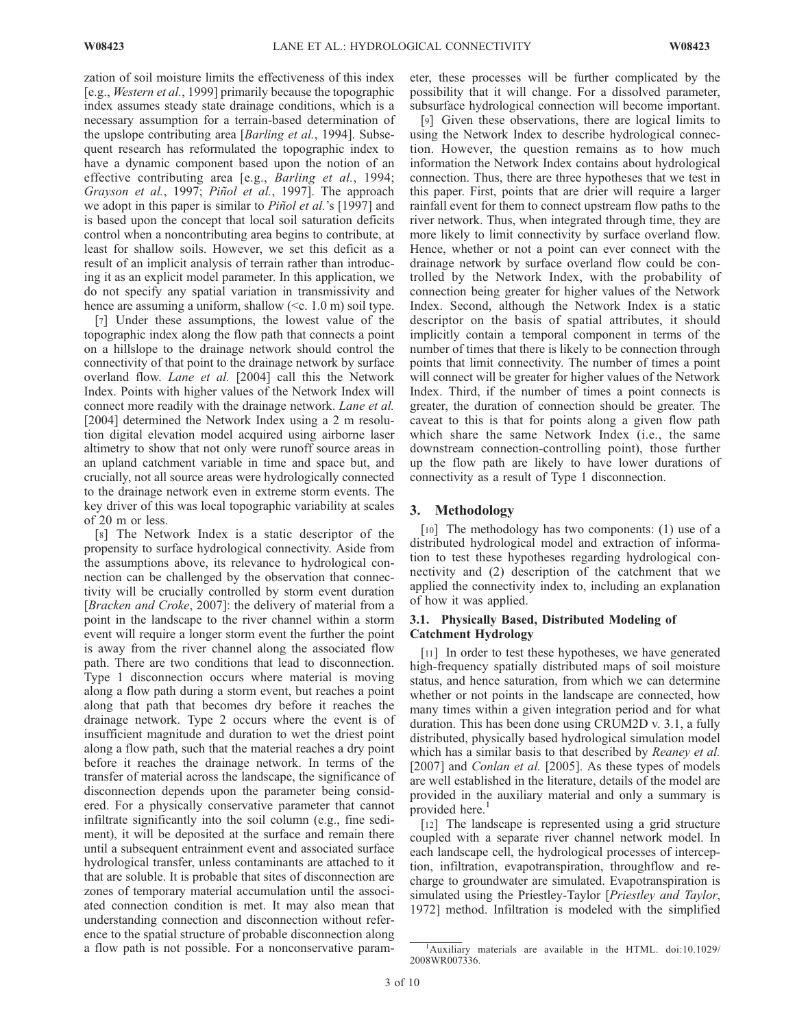zation of soil moisture limits the effectiveness of this index [e.g., Western et al., 1999] primarily because the topographic index assumes steady state drainage conditions, which is a necessary assumption for a terrain-based determination of the upslope contributing area [Barling et al., 1994]. Subsequent research has reformulated the topographic index to have a dynamic component based upon the notion of an effective contributing area [e.g., Barling et al., 1994; Grayson et al., 1997; Piñol et al., 1997]. The approach we adopt in this paper is similar to *Piñol et al.*'s [1997] and is based upon the concept that local soil saturation deficits control when a noncontributing area begins to contribute, at least for shallow soils. However, we set this deficit as a result of an implicit analysis of terrain rather than introducing it as an explicit model parameter. In this application, we do not specify any spatial variation in transmissivity and hence are assuming a uniform, shallow ( $\leq c$ . 1.0 m) soil type.

[7] Under these assumptions, the lowest value of the topographic index along the flow path that connects a point on a hillslope to the drainage network should control the connectivity of that point to the drainage network by surface overland flow. Lane et al. [2004] call this the Network Index. Points with higher values of the Network Index will connect more readily with the drainage network. Lane et al. [2004] determined the Network Index using a 2 m resolution digital elevation model acquired using airborne laser altimetry to show that not only were runoff source areas in an upland catchment variable in time and space but, and crucially, not all source areas were hydrologically connected to the drainage network even in extreme storm events. The key driver of this was local topographic variability at scales of 20 m or less.

[8] The Network Index is a static descriptor of the propensity to surface hydrological connectivity. Aside from the assumptions above, its relevance to hydrological connection can be challenged by the observation that connectivity will be crucially controlled by storm event duration [Bracken and Croke, 2007]: the delivery of material from a point in the landscape to the river channel within a storm event will require a longer storm event the further the point is away from the river channel along the associated flow path. There are two conditions that lead to disconnection. Type 1 disconnection occurs where material is moving along a flow path during a storm event, but reaches a point along that path that becomes dry before it reaches the drainage network. Type 2 occurs where the event is of insufficient magnitude and duration to wet the driest point along a flow path, such that the material reaches a dry point before it reaches the drainage network. In terms of the transfer of material across the landscape, the significance of disconnection depends upon the parameter being considered. For a physically conservative parameter that cannot infiltrate significantly into the soil column (e.g., fine sediment), it will be deposited at the surface and remain there until a subsequent entrainment event and associated surface hydrological transfer, unless contaminants are attached to it that are soluble. It is probable that sites of disconnection are zones of temporary material accumulation until the associated connection condition is met. It may also mean that understanding connection and disconnection without reference to the spatial structure of probable disconnection along a flow path is not possible. For a nonconservative parameter, these processes will be further complicated by the possibility that it will change. For a dissolved parameter, subsurface hydrological connection will become important.

[9] Given these observations, there are logical limits to using the Network Index to describe hydrological connection. However, the question remains as to how much information the Network Index contains about hydrological connection. Thus, there are three hypotheses that we test in this paper. First, points that are drier will require a larger rainfall event for them to connect upstream flow paths to the river network. Thus, when integrated through time, they are more likely to limit connectivity by surface overland flow. Hence, whether or not a point can ever connect with the drainage network by surface overland flow could be controlled by the Network Index, with the probability of connection being greater for higher values of the Network Index. Second, although the Network Index is a static descriptor on the basis of spatial attributes, it should implicitly contain a temporal component in terms of the number of times that there is likely to be connection through points that limit connectivity. The number of times a point will connect will be greater for higher values of the Network Index. Third, if the number of times a point connects is greater, the duration of connection should be greater. The caveat to this is that for points along a given flow path which share the same Network Index (i.e., the same downstream connection-controlling point), those further up the flow path are likely to have lower durations of connectivity as a result of Type 1 disconnection.

#### 3. Methodology

[10] The methodology has two components: (1) use of a distributed hydrological model and extraction of information to test these hypotheses regarding hydrological connectivity and (2) description of the catchment that we applied the connectivity index to, including an explanation of how it was applied.

#### 3.1. Physically Based, Distributed Modeling of Catchment Hydrology

[11] In order to test these hypotheses, we have generated high-frequency spatially distributed maps of soil moisture status, and hence saturation, from which we can determine whether or not points in the landscape are connected, how many times within a given integration period and for what duration. This has been done using CRUM2D v. 3.1, a fully distributed, physically based hydrological simulation model which has a similar basis to that described by *Reaney et al.* [2007] and *Conlan et al.* [2005]. As these types of models are well established in the literature, details of the model are provided in the auxiliary material and only a summary is provided here.<sup>1</sup>

[12] The landscape is represented using a grid structure coupled with a separate river channel network model. In each landscape cell, the hydrological processes of interception, infiltration, evapotranspiration, throughflow and recharge to groundwater are simulated. Evapotranspiration is simulated using the Priestley-Taylor [Priestley and Taylor, 1972] method. Infiltration is modeled with the simplified

<sup>&</sup>lt;sup>1</sup>Auxiliary materials are available in the HTML. doi:10.1029/ 2008WR007336.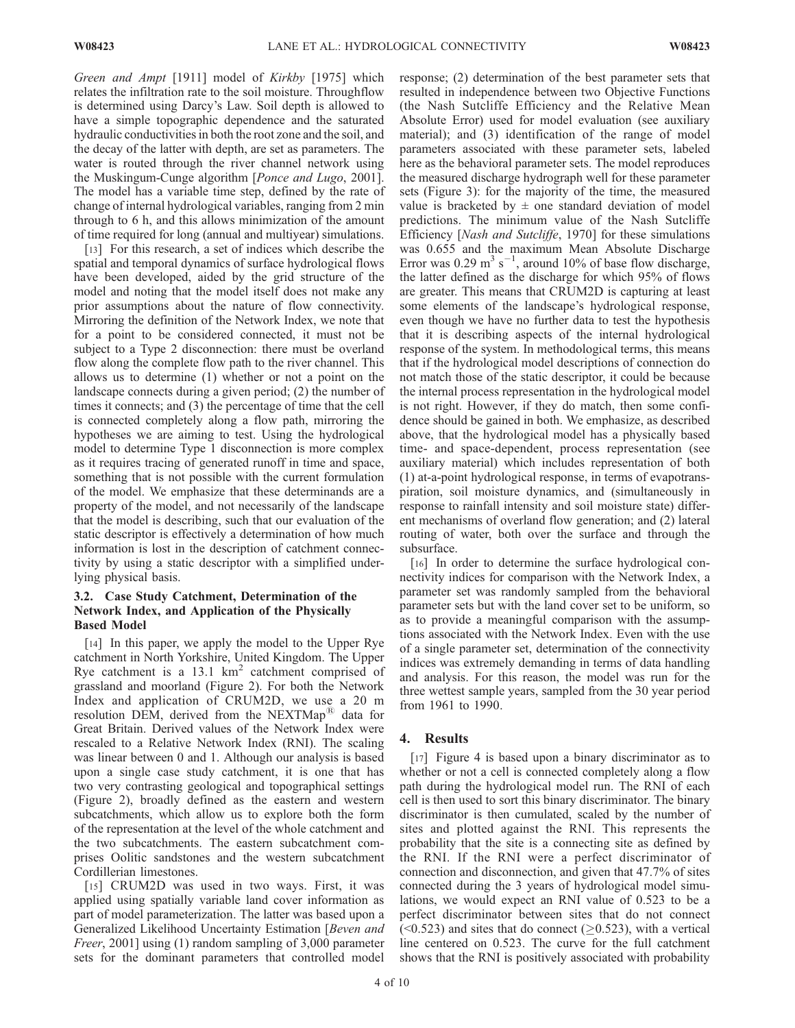Green and Ampt [1911] model of Kirkby [1975] which relates the infiltration rate to the soil moisture. Throughflow is determined using Darcy's Law. Soil depth is allowed to have a simple topographic dependence and the saturated hydraulic conductivities in both the root zone and the soil, and the decay of the latter with depth, are set as parameters. The water is routed through the river channel network using the Muskingum-Cunge algorithm [Ponce and Lugo, 2001]. The model has a variable time step, defined by the rate of change of internal hydrological variables, ranging from 2 min through to 6 h, and this allows minimization of the amount of time required for long (annual and multiyear) simulations.

[13] For this research, a set of indices which describe the spatial and temporal dynamics of surface hydrological flows have been developed, aided by the grid structure of the model and noting that the model itself does not make any prior assumptions about the nature of flow connectivity. Mirroring the definition of the Network Index, we note that for a point to be considered connected, it must not be subject to a Type 2 disconnection: there must be overland flow along the complete flow path to the river channel. This allows us to determine (1) whether or not a point on the landscape connects during a given period; (2) the number of times it connects; and (3) the percentage of time that the cell is connected completely along a flow path, mirroring the hypotheses we are aiming to test. Using the hydrological model to determine Type 1 disconnection is more complex as it requires tracing of generated runoff in time and space, something that is not possible with the current formulation of the model. We emphasize that these determinands are a property of the model, and not necessarily of the landscape that the model is describing, such that our evaluation of the static descriptor is effectively a determination of how much information is lost in the description of catchment connectivity by using a static descriptor with a simplified underlying physical basis.

#### 3.2. Case Study Catchment, Determination of the Network Index, and Application of the Physically Based Model

[14] In this paper, we apply the model to the Upper Rye catchment in North Yorkshire, United Kingdom. The Upper Rye catchment is a 13.1  $km^2$  catchment comprised of grassland and moorland (Figure 2). For both the Network Index and application of CRUM2D, we use a 20 m resolution DEM, derived from the NEXTMap<sup>®</sup> data for Great Britain. Derived values of the Network Index were rescaled to a Relative Network Index (RNI). The scaling was linear between 0 and 1. Although our analysis is based upon a single case study catchment, it is one that has two very contrasting geological and topographical settings (Figure 2), broadly defined as the eastern and western subcatchments, which allow us to explore both the form of the representation at the level of the whole catchment and the two subcatchments. The eastern subcatchment comprises Oolitic sandstones and the western subcatchment Cordillerian limestones.

[15] CRUM2D was used in two ways. First, it was applied using spatially variable land cover information as part of model parameterization. The latter was based upon a Generalized Likelihood Uncertainty Estimation [Beven and Freer, 2001] using (1) random sampling of 3,000 parameter sets for the dominant parameters that controlled model

response; (2) determination of the best parameter sets that resulted in independence between two Objective Functions (the Nash Sutcliffe Efficiency and the Relative Mean Absolute Error) used for model evaluation (see auxiliary material); and (3) identification of the range of model parameters associated with these parameter sets, labeled here as the behavioral parameter sets. The model reproduces the measured discharge hydrograph well for these parameter sets (Figure 3): for the majority of the time, the measured value is bracketed by  $\pm$  one standard deviation of model predictions. The minimum value of the Nash Sutcliffe Efficiency [Nash and Sutcliffe, 1970] for these simulations was 0.655 and the maximum Mean Absolute Discharge Error was 0.29 m<sup>3</sup> s<sup>-1</sup>, around 10% of base flow discharge, the latter defined as the discharge for which 95% of flows are greater. This means that CRUM2D is capturing at least some elements of the landscape's hydrological response, even though we have no further data to test the hypothesis that it is describing aspects of the internal hydrological response of the system. In methodological terms, this means that if the hydrological model descriptions of connection do not match those of the static descriptor, it could be because the internal process representation in the hydrological model is not right. However, if they do match, then some confidence should be gained in both. We emphasize, as described above, that the hydrological model has a physically based time- and space-dependent, process representation (see auxiliary material) which includes representation of both (1) at-a-point hydrological response, in terms of evapotranspiration, soil moisture dynamics, and (simultaneously in response to rainfall intensity and soil moisture state) different mechanisms of overland flow generation; and (2) lateral routing of water, both over the surface and through the subsurface.

[16] In order to determine the surface hydrological connectivity indices for comparison with the Network Index, a parameter set was randomly sampled from the behavioral parameter sets but with the land cover set to be uniform, so as to provide a meaningful comparison with the assumptions associated with the Network Index. Even with the use of a single parameter set, determination of the connectivity indices was extremely demanding in terms of data handling and analysis. For this reason, the model was run for the three wettest sample years, sampled from the 30 year period from 1961 to 1990.

#### 4. Results

[17] Figure 4 is based upon a binary discriminator as to whether or not a cell is connected completely along a flow path during the hydrological model run. The RNI of each cell is then used to sort this binary discriminator. The binary discriminator is then cumulated, scaled by the number of sites and plotted against the RNI. This represents the probability that the site is a connecting site as defined by the RNI. If the RNI were a perfect discriminator of connection and disconnection, and given that 47.7% of sites connected during the 3 years of hydrological model simulations, we would expect an RNI value of 0.523 to be a perfect discriminator between sites that do not connect  $(\leq 0.523)$  and sites that do connect ( $\geq 0.523$ ), with a vertical line centered on 0.523. The curve for the full catchment shows that the RNI is positively associated with probability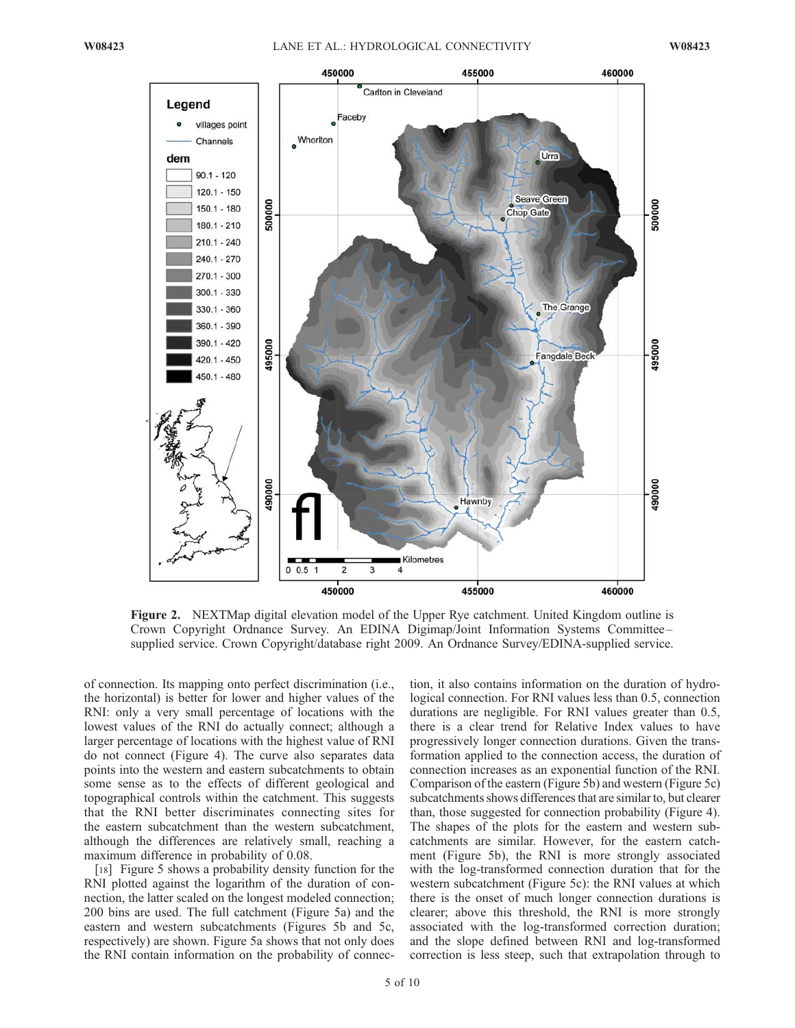

Figure 2. NEXTMap digital elevation model of the Upper Rye catchment. United Kingdom outline is Crown Copyright Ordnance Survey. An EDINA Digimap/Joint Information Systems Committee – supplied service. Crown Copyright/database right 2009. An Ordnance Survey/EDINA-supplied service.

of connection. Its mapping onto perfect discrimination (i.e., the horizontal) is better for lower and higher values of the RNI: only a very small percentage of locations with the lowest values of the RNI do actually connect; although a larger percentage of locations with the highest value of RNI do not connect (Figure 4). The curve also separates data points into the western and eastern subcatchments to obtain some sense as to the effects of different geological and topographical controls within the catchment. This suggests that the RNI better discriminates connecting sites for the eastern subcatchment than the western subcatchment, although the differences are relatively small, reaching a maximum difference in probability of 0.08.

[18] Figure 5 shows a probability density function for the RNI plotted against the logarithm of the duration of connection, the latter scaled on the longest modeled connection; 200 bins are used. The full catchment (Figure 5a) and the eastern and western subcatchments (Figures 5b and 5c, respectively) are shown. Figure 5a shows that not only does the RNI contain information on the probability of connection, it also contains information on the duration of hydrological connection. For RNI values less than 0.5, connection durations are negligible. For RNI values greater than 0.5, there is a clear trend for Relative Index values to have progressively longer connection durations. Given the transformation applied to the connection access, the duration of connection increases as an exponential function of the RNI. Comparison of the eastern (Figure 5b) and western (Figure 5c) subcatchments shows differences that are similar to, but clearer than, those suggested for connection probability (Figure 4). The shapes of the plots for the eastern and western subcatchments are similar. However, for the eastern catchment (Figure 5b), the RNI is more strongly associated with the log-transformed connection duration that for the western subcatchment (Figure 5c): the RNI values at which there is the onset of much longer connection durations is clearer; above this threshold, the RNI is more strongly associated with the log-transformed correction duration; and the slope defined between RNI and log-transformed correction is less steep, such that extrapolation through to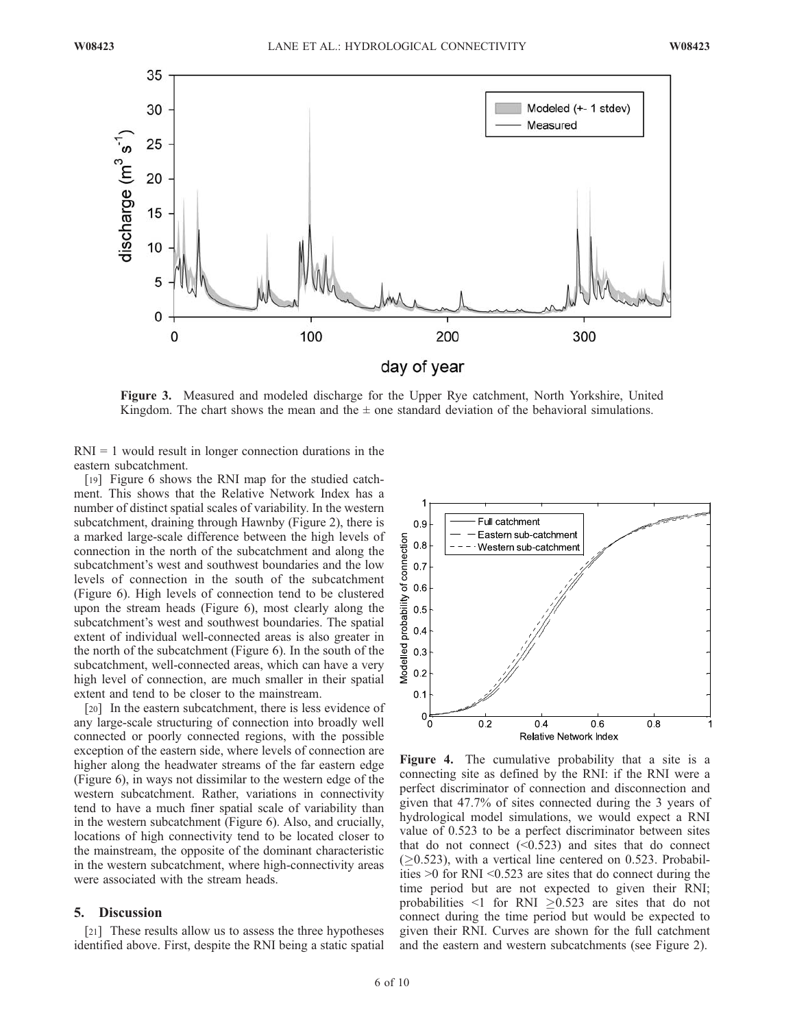

Figure 3. Measured and modeled discharge for the Upper Rye catchment, North Yorkshire, United Kingdom. The chart shows the mean and the  $\pm$  one standard deviation of the behavioral simulations.

 $RNI = 1$  would result in longer connection durations in the eastern subcatchment.

[19] Figure 6 shows the RNI map for the studied catchment. This shows that the Relative Network Index has a number of distinct spatial scales of variability. In the western subcatchment, draining through Hawnby (Figure 2), there is a marked large-scale difference between the high levels of connection in the north of the subcatchment and along the subcatchment's west and southwest boundaries and the low levels of connection in the south of the subcatchment (Figure 6). High levels of connection tend to be clustered upon the stream heads (Figure 6), most clearly along the subcatchment's west and southwest boundaries. The spatial extent of individual well-connected areas is also greater in the north of the subcatchment (Figure 6). In the south of the subcatchment, well-connected areas, which can have a very high level of connection, are much smaller in their spatial extent and tend to be closer to the mainstream.

[20] In the eastern subcatchment, there is less evidence of any large-scale structuring of connection into broadly well connected or poorly connected regions, with the possible exception of the eastern side, where levels of connection are higher along the headwater streams of the far eastern edge (Figure 6), in ways not dissimilar to the western edge of the western subcatchment. Rather, variations in connectivity tend to have a much finer spatial scale of variability than in the western subcatchment (Figure 6). Also, and crucially, locations of high connectivity tend to be located closer to the mainstream, the opposite of the dominant characteristic in the western subcatchment, where high-connectivity areas were associated with the stream heads.

#### 5. Discussion

[21] These results allow us to assess the three hypotheses identified above. First, despite the RNI being a static spatial



Figure 4. The cumulative probability that a site is a connecting site as defined by the RNI: if the RNI were a perfect discriminator of connection and disconnection and given that 47.7% of sites connected during the 3 years of hydrological model simulations, we would expect a RNI value of 0.523 to be a perfect discriminator between sites that do not connect  $(0.523)$  and sites that do connect  $(\geq 0.523)$ , with a vertical line centered on 0.523. Probabilities >0 for RNI <0.523 are sites that do connect during the time period but are not expected to given their RNI; probabilities  $\leq 1$  for RNI  $\geq 0.523$  are sites that do not connect during the time period but would be expected to given their RNI. Curves are shown for the full catchment and the eastern and western subcatchments (see Figure 2).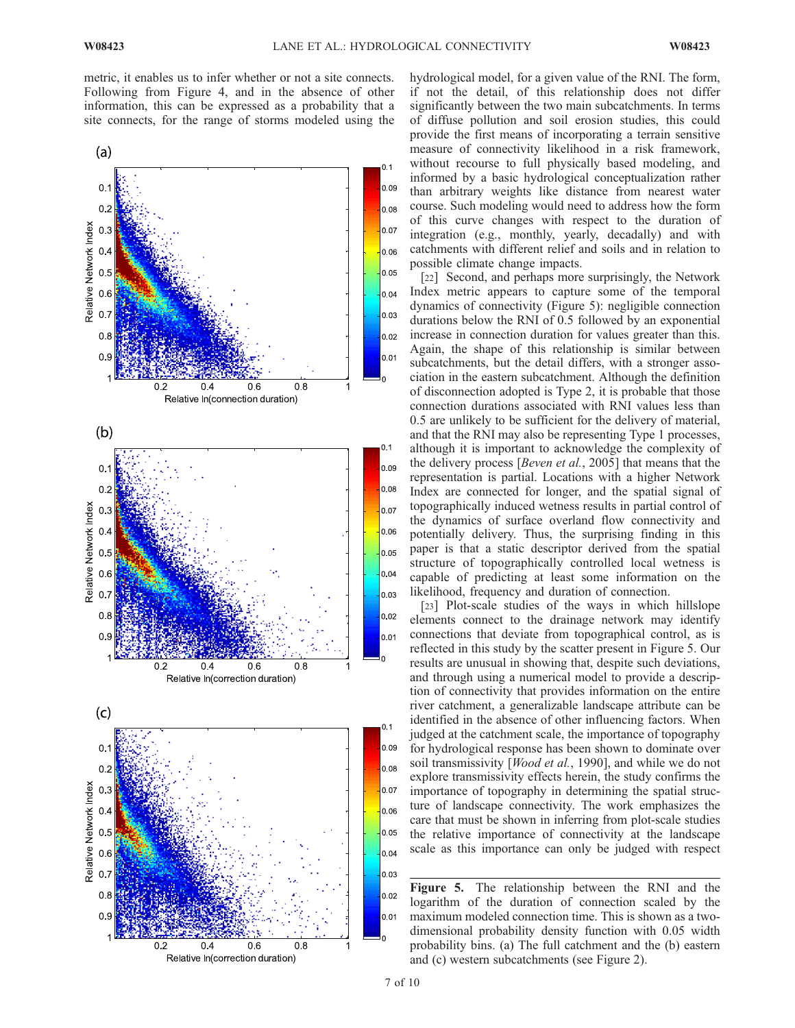metric, it enables us to infer whether or not a site connects. Following from Figure 4, and in the absence of other information, this can be expressed as a probability that a site connects, for the range of storms modeled using the



hydrological model, for a given value of the RNI. The form, if not the detail, of this relationship does not differ significantly between the two main subcatchments. In terms of diffuse pollution and soil erosion studies, this could provide the first means of incorporating a terrain sensitive measure of connectivity likelihood in a risk framework, without recourse to full physically based modeling, and informed by a basic hydrological conceptualization rather than arbitrary weights like distance from nearest water course. Such modeling would need to address how the form of this curve changes with respect to the duration of integration (e.g., monthly, yearly, decadally) and with catchments with different relief and soils and in relation to possible climate change impacts.

[22] Second, and perhaps more surprisingly, the Network Index metric appears to capture some of the temporal dynamics of connectivity (Figure 5): negligible connection durations below the RNI of 0.5 followed by an exponential increase in connection duration for values greater than this. Again, the shape of this relationship is similar between subcatchments, but the detail differs, with a stronger association in the eastern subcatchment. Although the definition of disconnection adopted is Type 2, it is probable that those connection durations associated with RNI values less than 0.5 are unlikely to be sufficient for the delivery of material, and that the RNI may also be representing Type 1 processes, although it is important to acknowledge the complexity of the delivery process [Beven et al., 2005] that means that the representation is partial. Locations with a higher Network Index are connected for longer, and the spatial signal of topographically induced wetness results in partial control of the dynamics of surface overland flow connectivity and potentially delivery. Thus, the surprising finding in this paper is that a static descriptor derived from the spatial structure of topographically controlled local wetness is capable of predicting at least some information on the likelihood, frequency and duration of connection.

[23] Plot-scale studies of the ways in which hillslope elements connect to the drainage network may identify connections that deviate from topographical control, as is reflected in this study by the scatter present in Figure 5. Our results are unusual in showing that, despite such deviations, and through using a numerical model to provide a description of connectivity that provides information on the entire river catchment, a generalizable landscape attribute can be identified in the absence of other influencing factors. When judged at the catchment scale, the importance of topography for hydrological response has been shown to dominate over soil transmissivity [*Wood et al.*, 1990], and while we do not explore transmissivity effects herein, the study confirms the importance of topography in determining the spatial structure of landscape connectivity. The work emphasizes the care that must be shown in inferring from plot-scale studies the relative importance of connectivity at the landscape scale as this importance can only be judged with respect

Figure 5. The relationship between the RNI and the logarithm of the duration of connection scaled by the maximum modeled connection time. This is shown as a twodimensional probability density function with 0.05 width probability bins. (a) The full catchment and the (b) eastern and (c) western subcatchments (see Figure 2).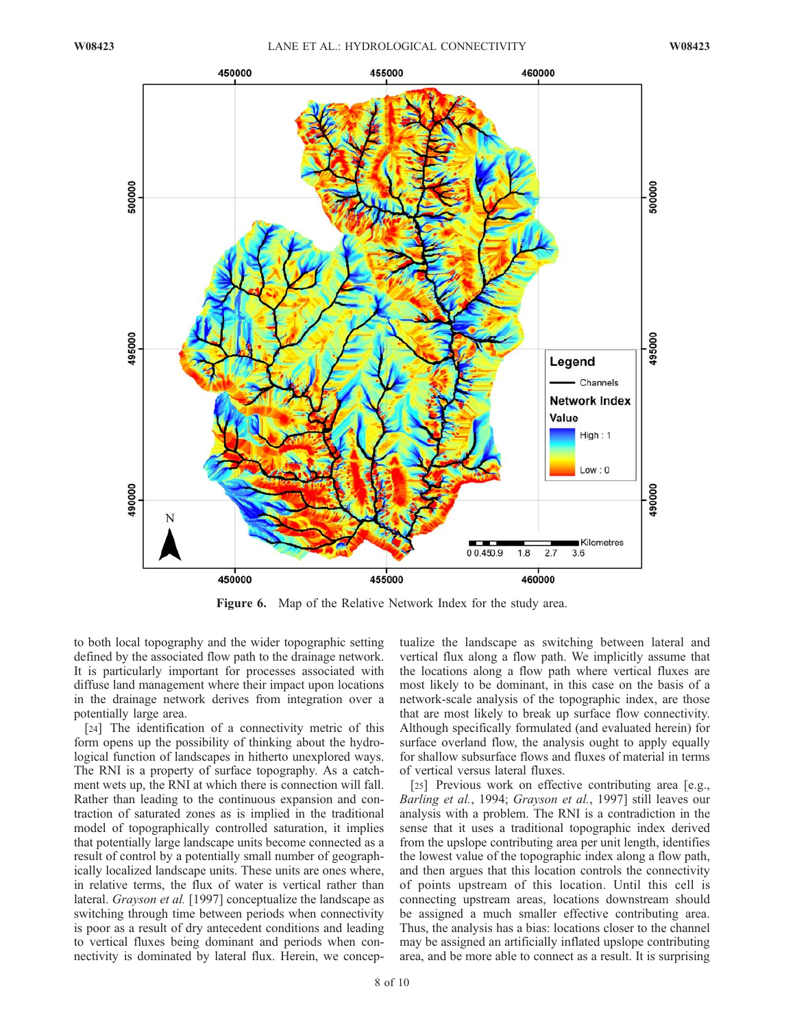

Figure 6. Map of the Relative Network Index for the study area.

to both local topography and the wider topographic setting defined by the associated flow path to the drainage network. It is particularly important for processes associated with diffuse land management where their impact upon locations in the drainage network derives from integration over a potentially large area.

[24] The identification of a connectivity metric of this form opens up the possibility of thinking about the hydrological function of landscapes in hitherto unexplored ways. The RNI is a property of surface topography. As a catchment wets up, the RNI at which there is connection will fall. Rather than leading to the continuous expansion and contraction of saturated zones as is implied in the traditional model of topographically controlled saturation, it implies that potentially large landscape units become connected as a result of control by a potentially small number of geographically localized landscape units. These units are ones where, in relative terms, the flux of water is vertical rather than lateral. *Grayson et al.* [1997] conceptualize the landscape as switching through time between periods when connectivity is poor as a result of dry antecedent conditions and leading to vertical fluxes being dominant and periods when connectivity is dominated by lateral flux. Herein, we conceptualize the landscape as switching between lateral and vertical flux along a flow path. We implicitly assume that the locations along a flow path where vertical fluxes are most likely to be dominant, in this case on the basis of a network-scale analysis of the topographic index, are those that are most likely to break up surface flow connectivity. Although specifically formulated (and evaluated herein) for surface overland flow, the analysis ought to apply equally for shallow subsurface flows and fluxes of material in terms of vertical versus lateral fluxes.

[25] Previous work on effective contributing area [e.g., Barling et al., 1994; Grayson et al., 1997] still leaves our analysis with a problem. The RNI is a contradiction in the sense that it uses a traditional topographic index derived from the upslope contributing area per unit length, identifies the lowest value of the topographic index along a flow path, and then argues that this location controls the connectivity of points upstream of this location. Until this cell is connecting upstream areas, locations downstream should be assigned a much smaller effective contributing area. Thus, the analysis has a bias: locations closer to the channel may be assigned an artificially inflated upslope contributing area, and be more able to connect as a result. It is surprising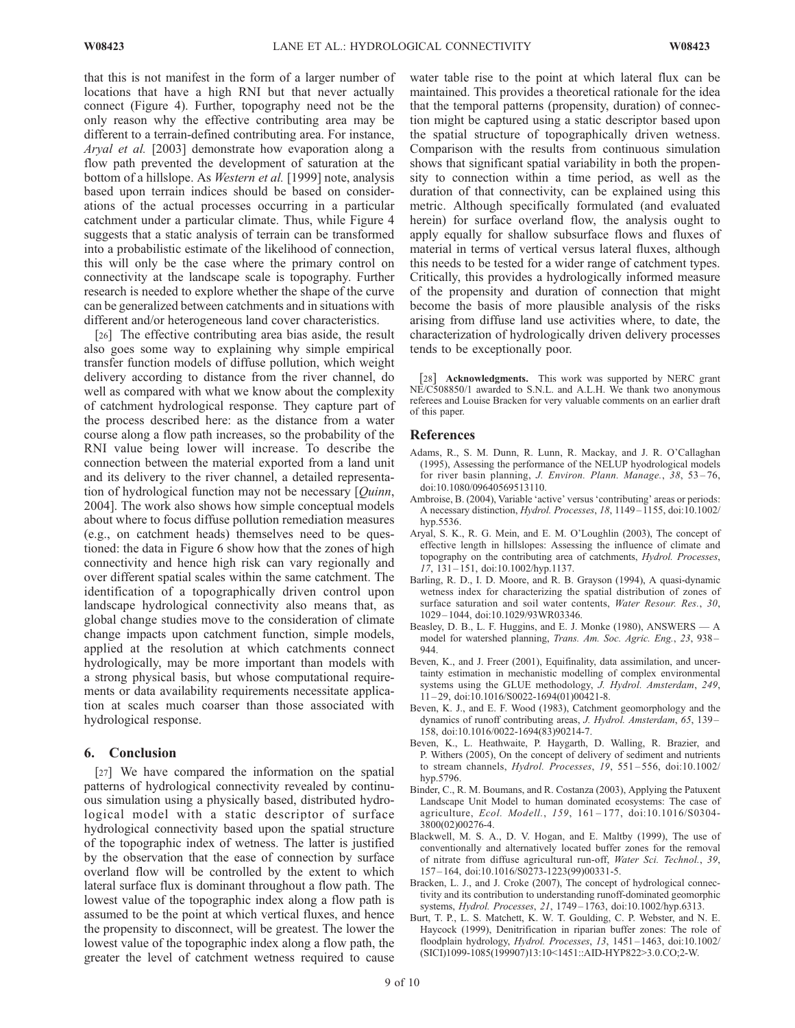that this is not manifest in the form of a larger number of locations that have a high RNI but that never actually connect (Figure 4). Further, topography need not be the only reason why the effective contributing area may be different to a terrain-defined contributing area. For instance, Aryal et al. [2003] demonstrate how evaporation along a flow path prevented the development of saturation at the bottom of a hillslope. As Western et al. [1999] note, analysis based upon terrain indices should be based on considerations of the actual processes occurring in a particular catchment under a particular climate. Thus, while Figure 4 suggests that a static analysis of terrain can be transformed into a probabilistic estimate of the likelihood of connection, this will only be the case where the primary control on connectivity at the landscape scale is topography. Further research is needed to explore whether the shape of the curve can be generalized between catchments and in situations with different and/or heterogeneous land cover characteristics.

[26] The effective contributing area bias aside, the result also goes some way to explaining why simple empirical transfer function models of diffuse pollution, which weight delivery according to distance from the river channel, do well as compared with what we know about the complexity of catchment hydrological response. They capture part of the process described here: as the distance from a water course along a flow path increases, so the probability of the RNI value being lower will increase. To describe the connection between the material exported from a land unit and its delivery to the river channel, a detailed representation of hydrological function may not be necessary  $[Quinn,$ 2004]. The work also shows how simple conceptual models about where to focus diffuse pollution remediation measures (e.g., on catchment heads) themselves need to be questioned: the data in Figure 6 show how that the zones of high connectivity and hence high risk can vary regionally and over different spatial scales within the same catchment. The identification of a topographically driven control upon landscape hydrological connectivity also means that, as global change studies move to the consideration of climate change impacts upon catchment function, simple models, applied at the resolution at which catchments connect hydrologically, may be more important than models with a strong physical basis, but whose computational requirements or data availability requirements necessitate application at scales much coarser than those associated with hydrological response.

#### 6. Conclusion

[27] We have compared the information on the spatial patterns of hydrological connectivity revealed by continuous simulation using a physically based, distributed hydrological model with a static descriptor of surface hydrological connectivity based upon the spatial structure of the topographic index of wetness. The latter is justified by the observation that the ease of connection by surface overland flow will be controlled by the extent to which lateral surface flux is dominant throughout a flow path. The lowest value of the topographic index along a flow path is assumed to be the point at which vertical fluxes, and hence the propensity to disconnect, will be greatest. The lower the lowest value of the topographic index along a flow path, the greater the level of catchment wetness required to cause

water table rise to the point at which lateral flux can be maintained. This provides a theoretical rationale for the idea that the temporal patterns (propensity, duration) of connection might be captured using a static descriptor based upon the spatial structure of topographically driven wetness. Comparison with the results from continuous simulation shows that significant spatial variability in both the propensity to connection within a time period, as well as the duration of that connectivity, can be explained using this metric. Although specifically formulated (and evaluated herein) for surface overland flow, the analysis ought to apply equally for shallow subsurface flows and fluxes of material in terms of vertical versus lateral fluxes, although this needs to be tested for a wider range of catchment types. Critically, this provides a hydrologically informed measure of the propensity and duration of connection that might become the basis of more plausible analysis of the risks arising from diffuse land use activities where, to date, the characterization of hydrologically driven delivery processes tends to be exceptionally poor.

[28] **Acknowledgments.** This work was supported by NERC grant NE/C508850/1 awarded to S.N.L. and A.L.H. We thank two anonymous referees and Louise Bracken for very valuable comments on an earlier draft of this paper.

#### References

- Adams, R., S. M. Dunn, R. Lunn, R. Mackay, and J. R. O'Callaghan (1995), Assessing the performance of the NELUP hyodrological models for river basin planning, J. Environ. Plann. Manage., 38, 53-76, doi:10.1080/09640569513110.
- Ambroise, B. (2004), Variable 'active' versus 'contributing' areas or periods: A necessary distinction, Hydrol. Processes, 18, 1149 – 1155, doi:10.1002/ hyp.5536.
- Aryal, S. K., R. G. Mein, and E. M. O'Loughlin (2003), The concept of effective length in hillslopes: Assessing the influence of climate and topography on the contributing area of catchments, Hydrol. Processes, 17, 131 – 151, doi:10.1002/hyp.1137.
- Barling, R. D., I. D. Moore, and R. B. Grayson (1994), A quasi-dynamic wetness index for characterizing the spatial distribution of zones of surface saturation and soil water contents, Water Resour. Res., 30, 1029 – 1044, doi:10.1029/93WR03346.
- Beasley, D. B., L. F. Huggins, and E. J. Monke (1980), ANSWERS A model for watershed planning, Trans. Am. Soc. Agric. Eng., 23, 938 – 944.
- Beven, K., and J. Freer (2001), Equifinality, data assimilation, and uncertainty estimation in mechanistic modelling of complex environmental systems using the GLUE methodology, J. Hydrol. Amsterdam, 249,  $11 - 29$ , doi:10.1016/S0022-1694(01)00421-8.
- Beven, K. J., and E. F. Wood (1983), Catchment geomorphology and the dynamics of runoff contributing areas, J. Hydrol. Amsterdam, 65, 139– 158, doi:10.1016/0022-1694(83)90214-7.
- Beven, K., L. Heathwaite, P. Haygarth, D. Walling, R. Brazier, and P. Withers (2005), On the concept of delivery of sediment and nutrients to stream channels, Hydrol. Processes, 19, 551-556, doi:10.1002/ hyp.5796.
- Binder, C., R. M. Boumans, and R. Costanza (2003), Applying the Patuxent Landscape Unit Model to human dominated ecosystems: The case of agriculture, Ecol. Modell., 159, 161-177, doi:10.1016/S0304-3800(02)00276-4.
- Blackwell, M. S. A., D. V. Hogan, and E. Maltby (1999), The use of conventionally and alternatively located buffer zones for the removal of nitrate from diffuse agricultural run-off, Water Sci. Technol., 39, 157 – 164, doi:10.1016/S0273-1223(99)00331-5.
- Bracken, L. J., and J. Croke (2007), The concept of hydrological connectivity and its contribution to understanding runoff-dominated geomorphic systems, Hydrol. Processes, 21, 1749 – 1763, doi:10.1002/hyp.6313.
- Burt, T. P., L. S. Matchett, K. W. T. Goulding, C. P. Webster, and N. E. Haycock (1999), Denitrification in riparian buffer zones: The role of floodplain hydrology, Hydrol. Processes, 13, 1451 – 1463, doi:10.1002/ (SICI)1099-1085(199907)13:10<1451::AID-HYP822>3.0.CO;2-W.